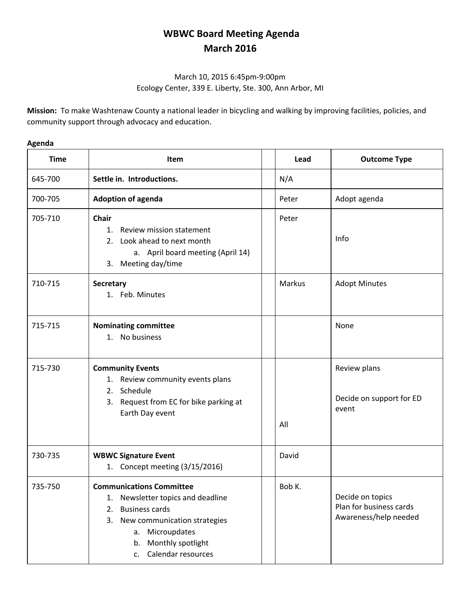## **WBWC Board Meeting Agenda March 2016**

## March 10, 2015 6:45pm‐9:00pm Ecology Center, 339 E. Liberty, Ste. 300, Ann Arbor, MI

**Mission:** To make Washtenaw County a national leader in bicycling and walking by improving facilities, policies, and community support through advocacy and education.

## **Agenda**

| <b>Time</b> | Item                                                                                                                                                                                                                      | Lead   | <b>Outcome Type</b>                                                  |
|-------------|---------------------------------------------------------------------------------------------------------------------------------------------------------------------------------------------------------------------------|--------|----------------------------------------------------------------------|
| 645-700     | Settle in. Introductions.                                                                                                                                                                                                 | N/A    |                                                                      |
| 700-705     | <b>Adoption of agenda</b>                                                                                                                                                                                                 | Peter  | Adopt agenda                                                         |
| 705-710     | Chair<br>Review mission statement<br>1.<br>2. Look ahead to next month<br>a. April board meeting (April 14)<br>3. Meeting day/time                                                                                        | Peter  | Info                                                                 |
| 710-715     | Secretary<br>1. Feb. Minutes                                                                                                                                                                                              | Markus | <b>Adopt Minutes</b>                                                 |
| 715-715     | <b>Nominating committee</b><br>1. No business                                                                                                                                                                             |        | None                                                                 |
| 715-730     | <b>Community Events</b><br>1. Review community events plans<br>2. Schedule<br>3. Request from EC for bike parking at<br>Earth Day event                                                                                   | All    | Review plans<br>Decide on support for ED<br>event                    |
| 730-735     | <b>WBWC Signature Event</b><br>1. Concept meeting (3/15/2016)                                                                                                                                                             | David  |                                                                      |
| 735-750     | <b>Communications Committee</b><br>Newsletter topics and deadline<br>1.<br><b>Business cards</b><br>2.<br>New communication strategies<br>3.<br>Microupdates<br>a.<br>Monthly spotlight<br>b.<br>Calendar resources<br>C. | Bob K. | Decide on topics<br>Plan for business cards<br>Awareness/help needed |